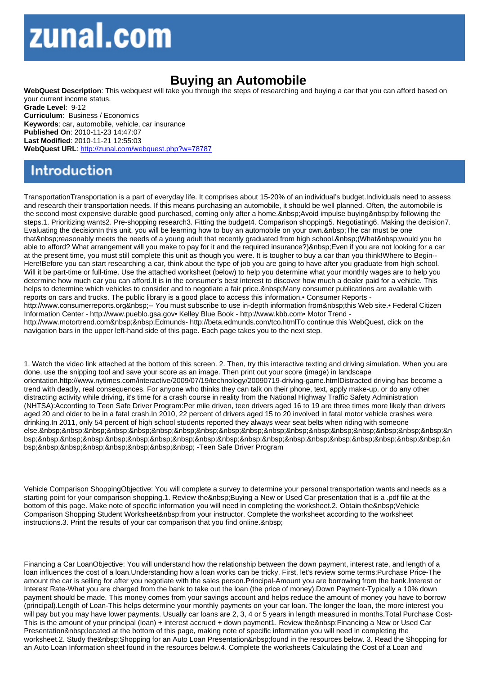## Buying an Automobile

WebQuest Description: This webquest will take you through the steps of researching and buying a car that you can afford based on your current income status. Grade Level: 9-12 Curriculum: Business / Economics Keywords: car, automobile, vehicle, car insurance Published On: 2010-11-23 14:47:07 Last Modified: 2010-11-21 12:55:03 WebQuest URL: http://zunal.com/webquest.php?w=78787

TransportationTransportation is a part of everyday life. It comprises about 15-20% of an individual's budget.Individuals need to assess and research their transportation needs. If this means purchasing an automobile, it should be well planned. Often, the automobile is the second most expensive durable good purchased, coming only after a home. & nbsp: Avoid impulse buying & holowing the steps.1. Prioritizing wants2. Pre-shopping research3. Fitting the budget4. Comparison shopping5. Negotiating6. Making the decision7. Evaluating the decisionIn this unit, you will be learning how to buy an automobile on your own. The car must be one that reasonably meets the needs of a young adult that recently graduated from high school. (What would you be able to afford? What arrangement will you make to pay for it and the required insurance?) Even if you are not looking for a car at the present time, you must still complete this unit as though you were. It is tougher to buy a car than you think!Where to Begin-- Here!Before you can start researching a car, think about the type of job you are going to have after you graduate from high school. Will it be part-time or full-time. Use the attached worksheet (below) to help you determine what your monthly wages are to help you determine how much car you can afford.It is in the consumer's best interest to discover how much a dealer paid for a vehicle. This helps to determine which vehicles to consider and to negotiate a fair price. Many consumer publications are available with reports on cars and trucks. The public library is a good place to access this information.• Consumer Reports http://www.consumerreports.org -- You must subscribe to use in-depth information from this Web site.• Federal Citizen Information Center - http://www.pueblo.gsa.gov• Kelley Blue Book - http://www.kbb.com• Motor Trend http://www.motortrend.com Edmunds- http://beta.edmunds.com/tco.htmlTo continue this WebQuest, click on the navigation bars in the upper left-hand side of this page. Each page takes you to the next step.

1. Watch the video link attached at the bottom of this screen. 2. Then, try this interactive texting and driving simulation. When you are done, use the snipping tool and save your score as an image. Then print out your score (image) in landscape orientation.http://www.nytimes.com/interactive/2009/07/19/technology/20090719-driving-game.htmlDistracted driving has become a trend with deadly, real consequences. For anyone who thinks they can talk on their phone, text, apply make-up, or do any other distracting activity while driving, it's time for a crash course in reality from the National Highway Traffic Safety Administration (NHTSA):According to Teen Safe Driver Program:Per mile driven, teen drivers aged 16 to 19 are three times more likely than drivers aged 20 and older to be in a fatal crash.In 2010, 22 percent of drivers aged 15 to 20 involved in fatal motor vehicle crashes were drinking.In 2011, only 54 percent of high school students reported they always wear seat belts when riding with someone else. &n bsp; &n bsp; -Teen Safe Driver Program

Vehicle Comparison ShoppingObjective: You will complete a survey to determine your personal transportation wants and needs as a starting point for your comparison shopping.1. Review the Buying a New or Used Car presentation that is a .pdf file at the bottom of this page. Make note of specific information you will need in completing the worksheet.2. Obtain the & nbsp: Vehicle Comparison Shopping Student Worksheet from your instructor. Complete the worksheet according to the worksheet instructions.3. Print the results of your car comparison that you find online.

Financing a Car LoanObjective: You will understand how the relationship between the down payment, interest rate, and length of a loan influences the cost of a loan.Understanding how a loan works can be tricky. First, let's review some terms:Purchase Price-The amount the car is selling for after you negotiate with the sales person.Principal-Amount you are borrowing from the bank.Interest or Interest Rate-What you are charged from the bank to take out the loan (the price of money).Down Payment-Typically a 10% down payment should be made. This money comes from your savings account and helps reduce the amount of money you have to borrow (principal).Length of Loan-This helps determine your monthly payments on your car loan. The longer the loan, the more interest you will pay but you may have lower payments. Usually car loans are 2, 3, 4 or 5 years in length measured in months. Total Purchase Cost-This is the amount of your principal (loan) + interest accrued + down payment1. Review the Financing a New or Used Car Presentation located at the bottom of this page, making note of specific information you will need in completing the worksheet.2. Study the Shopping for an Auto Loan Presentation found in the resources below. 3. Read the Shopping for an Auto Loan Information sheet found in the resources below.4. Complete the worksheets Calculating the Cost of a Loan and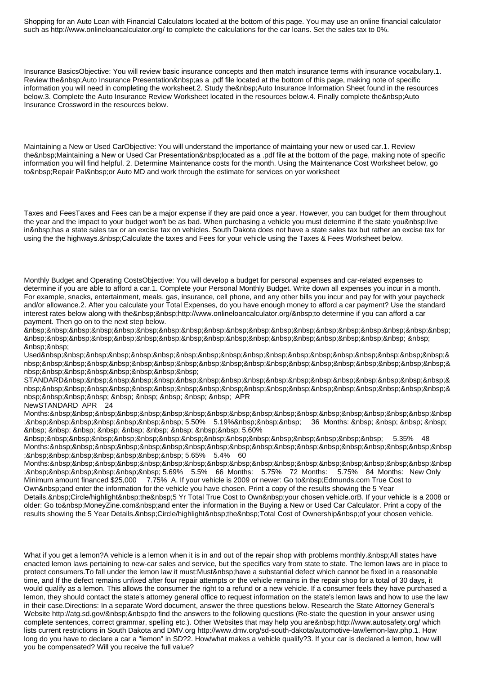Shopping for an Auto Loan with Financial Calculators located at the bottom of this page. You may use an online financial calculator such as http://www.onlineloancalculator.org/ to complete the calculations for the car loans. Set the sales tax to 0%.

Insurance BasicsObjective: You will review basic insurance concepts and then match insurance terms with insurance vocabulary.1. Review the Auto Insurance Presentation as a .pdf file located at the bottom of this page, making note of specific information you will need in completing the worksheet.2. Study the &nbsp: Auto Insurance Information Sheet found in the resources below.3. Complete the Auto Insurance Review Worksheet located in the resources below.4. Finally complete the&nbsp:Auto Insurance Crossword in the resources below.

Maintaining a New or Used CarObjective: You will understand the importance of maintaing your new or used car.1. Review the Maintaining a New or Used Car Presentation located as a .pdf file at the bottom of the page, making note of specific information you will find helpful. 2. Determine Maintenance costs for the month. Using the Maintenance Cost Worksheet below, go to & nbsp: Repair Pal & nbsp: or Auto MD and work through the estimate for services on yor worksheet

Taxes and FeesTaxes and Fees can be a major expense if they are paid once a year. However, you can budget for them throughout the year and the impact to your budget won't be as bad. When purchasing a vehicle you must determine if the state you live in has a state sales tax or an excise tax on vehicles. South Dakota does not have a state sales tax but rather an excise tax for using the the highways. & nbsp: Calculate the taxes and Fees for your vehicle using the Taxes & Fees Worksheet below.

Monthly Budget and Operating CostsObjective: You will develop a budget for personal expenses and car-related expenses to determine if you are able to afford a car.1. Complete your Personal Monthly Budget. Write down all expenses you incur in a month. For example, snacks, entertainment, meals, gas, insurance, cell phone, and any other bills you incur and pay for with your paycheck and/or allowance.2. After you calculate your Total Expenses, do you have enough money to afford a car payment? Use the standard interest rates below along with the http://www.onlineloancalculator.org/ to determine if you can afford a car payment. Then go on to the next step below.

 &nbsp:&nbsp:

Used & nbsp; & nbsp;

STANDARD & nbsp; & nbsp; APR NewSTANDARD APR 24

Months: &nbsp ; 5.50% 5.19% 36 Months: 5.60%

 5.35% 48 Months: &nbsp ; 5.65% 5.4% 60

Months: &nbsp ; 5.69% 5.5% 66 Months: 5.75% 72 Months: 5.75% 84 Months: New Only Minimum amount financed \$25,000 7.75% A. If your vehicle is 2009 or newer: Go to Edmunds.com True Cost to Own&nbsp: and enter the information for the vehicle you have chosen. Print a copy of the results showing the 5 Year Details. &nbsp: Circle/highlight &nbsp: the &nbsp: 5 Yr Total True Cost to Own &nbsp: your chosen vehicle.orB. If your vehicle is a 2008 or older: Go to&nbsp:MoneyZine.com&nbsp:and enter the information in the Buying a New or Used Car Calculator. Print a copy of the results showing the 5 Year Details. &nbsp: Circle/highlight &nbsp: the &nbsp: Total Cost of Ownership &nbsp: of your chosen vehicle.

What if you get a lemon?A vehicle is a lemon when it is in and out of the repair shop with problems monthly. All states have enacted lemon laws pertaining to new-car sales and service, but the specifics vary from state to state. The lemon laws are in place to protect consumers. To fall under the lemon law it must:Must have a substantial defect which cannot be fixed in a reasonable time, and If the defect remains unfixed after four repair attempts or the vehicle remains in the repair shop for a total of 30 days, it would qualify as a lemon. This allows the consumer the right to a refund or a new vehicle. If a consumer feels they have purchased a lemon, they should contact the state's attorney general office to request information on the state's lemon laws and how to use the law in their case.Directions: In a separate Word document, answer the three questions below. Research the State Attorney General's Website http://atg.sd.gov/ to find the answers to the following questions (Re-state the question in your answer using complete sentences, correct grammar, spelling etc.). Other Websites that may help you are http://www.autosafety.org/ which lists current restrictions in South Dakota and DMV.org http://www.dmv.org/sd-south-dakota/automotive-law/lemon-law.php.1. How long do you have to declare a car a "lemon" in SD?2. How/what makes a vehicle qualify?3. If your car is declared a lemon, how will you be compensated? Will you receive the full value?